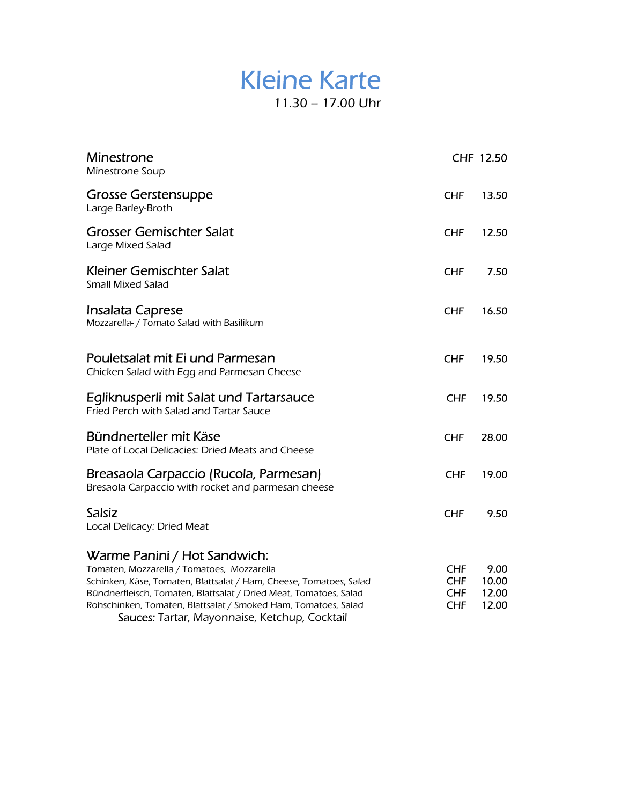### Kleine Karte 11.30 – 17.00 Uhr

| <b>Minestrone</b><br>Minestrone Soup                                                                                                                                                                                                                                                                                                     |                                                      | CHF 12.50                       |
|------------------------------------------------------------------------------------------------------------------------------------------------------------------------------------------------------------------------------------------------------------------------------------------------------------------------------------------|------------------------------------------------------|---------------------------------|
| <b>Grosse Gerstensuppe</b><br>Large Barley-Broth                                                                                                                                                                                                                                                                                         | <b>CHF</b>                                           | 13.50                           |
| <b>Grosser Gemischter Salat</b><br>Large Mixed Salad                                                                                                                                                                                                                                                                                     | <b>CHF</b>                                           | 12.50                           |
| Kleiner Gemischter Salat<br><b>Small Mixed Salad</b>                                                                                                                                                                                                                                                                                     | <b>CHF</b>                                           | 7.50                            |
| Insalata Caprese<br>Mozzarella- / Tomato Salad with Basilikum                                                                                                                                                                                                                                                                            | <b>CHF</b>                                           | 16.50                           |
| Pouletsalat mit Ei und Parmesan<br>Chicken Salad with Egg and Parmesan Cheese                                                                                                                                                                                                                                                            | <b>CHF</b>                                           | 19.50                           |
| Egliknusperli mit Salat und Tartarsauce<br>Fried Perch with Salad and Tartar Sauce                                                                                                                                                                                                                                                       | <b>CHF</b>                                           | 19.50                           |
| Bündnerteller mit Käse<br>Plate of Local Delicacies: Dried Meats and Cheese                                                                                                                                                                                                                                                              | <b>CHF</b>                                           | 28.00                           |
| Breasaola Carpaccio (Rucola, Parmesan)<br>Bresaola Carpaccio with rocket and parmesan cheese                                                                                                                                                                                                                                             | <b>CHF</b>                                           | 19.00                           |
| <b>Salsiz</b><br>Local Delicacy: Dried Meat                                                                                                                                                                                                                                                                                              | <b>CHF</b>                                           | 9.50                            |
| Warme Panini / Hot Sandwich:<br>Tomaten, Mozzarella / Tomatoes, Mozzarella<br>Schinken, Käse, Tomaten, Blattsalat / Ham, Cheese, Tomatoes, Salad<br>Bündnerfleisch, Tomaten, Blattsalat / Dried Meat, Tomatoes, Salad<br>Rohschinken, Tomaten, Blattsalat / Smoked Ham, Tomatoes, Salad<br>Sauces: Tartar, Mayonnaise, Ketchup, Cocktail | <b>CHF</b><br><b>CHF</b><br><b>CHF</b><br><b>CHF</b> | 9.00<br>10.00<br>12.00<br>12.00 |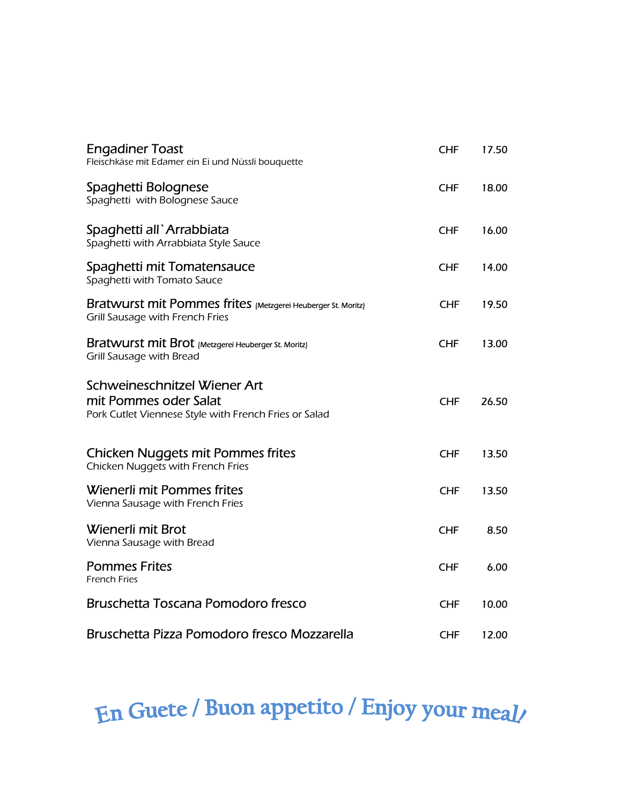| <b>Engadiner Toast</b><br>Fleischkäse mit Edamer ein Ei und Nüssli bouquette                                   | <b>CHF</b> | 17.50 |
|----------------------------------------------------------------------------------------------------------------|------------|-------|
| Spaghetti Bolognese<br>Spaghetti with Bolognese Sauce                                                          | <b>CHF</b> | 18.00 |
| Spaghetti all'Arrabbiata<br>Spaghetti with Arrabbiata Style Sauce                                              | <b>CHF</b> | 16.00 |
| Spaghetti mit Tomatensauce<br>Spaghetti with Tomato Sauce                                                      | <b>CHF</b> | 14.00 |
| Bratwurst mit Pommes frites (Metzgerei Heuberger St. Moritz)<br><b>Grill Sausage with French Fries</b>         | <b>CHF</b> | 19.50 |
| Bratwurst mit Brot (Metzgerei Heuberger St. Moritz)<br>Grill Sausage with Bread                                | <b>CHF</b> | 13.00 |
| Schweineschnitzel Wiener Art<br>mit Pommes oder Salat<br>Pork Cutlet Viennese Style with French Fries or Salad | <b>CHF</b> | 26.50 |
| <b>Chicken Nuggets mit Pommes frites</b><br>Chicken Nuggets with French Fries                                  | <b>CHF</b> | 13.50 |
| Wienerli mit Pommes frites<br>Vienna Sausage with French Fries                                                 | <b>CHF</b> | 13.50 |
| Wienerli mit Brot<br>Vienna Sausage with Bread                                                                 | <b>CHF</b> | 8.50  |
| <b>Pommes Frites</b><br><b>French Fries</b>                                                                    | <b>CHF</b> | 6.00  |
| Bruschetta Toscana Pomodoro fresco                                                                             | <b>CHF</b> | 10.00 |
| Bruschetta Pizza Pomodoro fresco Mozzarella                                                                    | <b>CHF</b> | 12.00 |

# En Guete / Buon appetito / Enjoy your meal/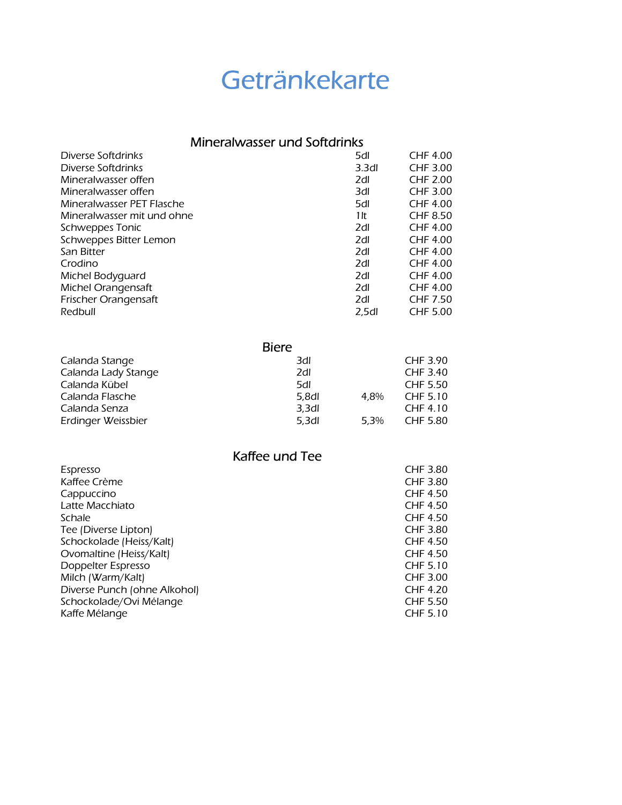## Getränkekarte

#### Mineralwasser und Softdrinks

| Diverse Softdrinks         | 5dl               | CHF 4.00        |
|----------------------------|-------------------|-----------------|
| Diverse Softdrinks         | 3.3 <sub>dl</sub> | <b>CHF 3.00</b> |
| Mineralwasser offen        | 2dl               | <b>CHF 2.00</b> |
| Mineralwasser offen        | 3dl               | CHF 3.00        |
| Mineralwasser PET Flasche  | 5dl               | <b>CHF 4.00</b> |
| Mineralwasser mit und ohne | 1 It              | <b>CHF 8.50</b> |
| Schweppes Tonic            | 2dl               | <b>CHF 4.00</b> |
| Schweppes Bitter Lemon     | 2dl               | <b>CHF 4.00</b> |
| San Bitter                 | 2dl               | <b>CHF 4.00</b> |
| Crodino                    | 2dl               | <b>CHF 4.00</b> |
| Michel Bodyguard           | 2dl               | CHF 4.00        |
| Michel Orangensaft         | 2dl               | CHF 4.00        |
| Frischer Orangensaft       | 2dl               | <b>CHF 7.50</b> |
| Redbull                    | 2.5 <sub>dl</sub> | <b>CHF 5.00</b> |

|                     | <b>Biere</b>      |      |                 |
|---------------------|-------------------|------|-----------------|
| Calanda Stange      | 3dl               |      | CHF 3.90        |
| Calanda Lady Stange | 2dl               |      | CHF 3.40        |
| Calanda Kübel       | 5dl               |      | <b>CHF 5.50</b> |
| Calanda Flasche     | 5.8dl             | 4.8% | CHF 5.10        |
| Calanda Senza       | 3,3d              |      | CHF 4.10        |
| Erdinger Weissbier  | 5.3 <sub>dl</sub> | 5.3% | <b>CHF 5.80</b> |

Kaffee und Tee

| Espresso                     | CHF 3.80        |
|------------------------------|-----------------|
| Kaffee Crème                 | CHF 3.80        |
| Cappuccino                   | <b>CHF 4.50</b> |
| Latte Macchiato              | <b>CHF 4.50</b> |
| Schale                       | <b>CHF 4.50</b> |
| Tee (Diverse Lipton)         | CHF 3.80        |
| Schockolade (Heiss/Kalt)     | CHF 4.50        |
| Ovomaltine (Heiss/Kalt)      | CHF 4.50        |
| Doppelter Espresso           | CHF 5.10        |
| Milch (Warm/Kalt)            | CHF 3.00        |
| Diverse Punch (ohne Alkohol) | <b>CHF 4.20</b> |
| Schockolade/Ovi Mélange      | <b>CHF 5.50</b> |
| Kaffe Mélange                | CHF 5.10        |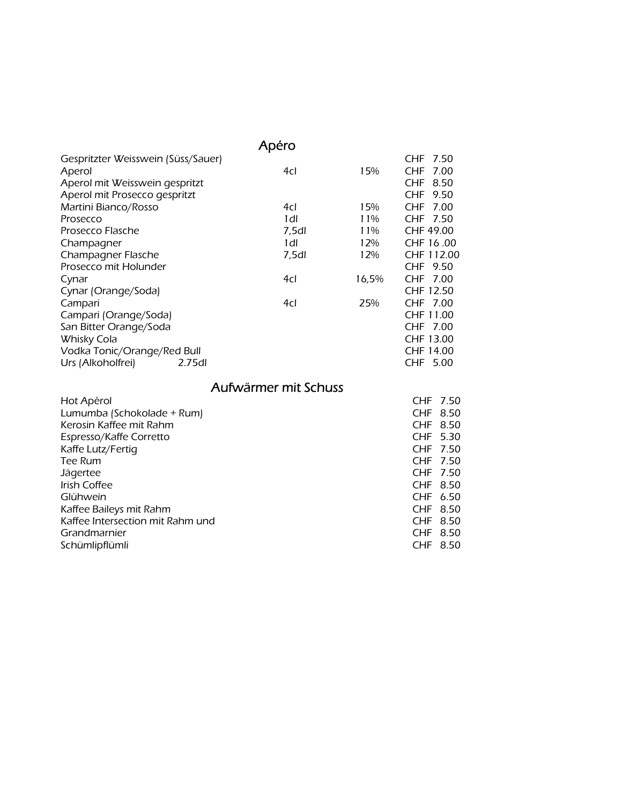|                                    | Apéro |       |            |
|------------------------------------|-------|-------|------------|
| Gespritzter Weisswein (Süss/Sauer) |       |       | CHF 7.50   |
| Aperol                             | 4cl   | 15%   | CHF 7.00   |
| Aperol mit Weisswein gespritzt     |       |       | CHF 8.50   |
| Aperol mit Prosecco gespritzt      |       |       | CHF 9.50   |
| Martini Bianco/Rosso               | 4cl   | 15%   | CHF 7.00   |
| Prosecco                           | 1dl   | 11%   | CHF 7.50   |
| Prosecco Flasche                   | 7,5dl | 11%   | CHF 49.00  |
| Champagner                         | 1dl   | 12%   | CHF 16.00  |
| Champagner Flasche                 | 7,5dl | 12%   | CHF 112.00 |
| Prosecco mit Holunder              |       |       | CHF 9.50   |
| Cynar                              | 4cl   | 16,5% | CHF 7.00   |
| Cynar (Orange/Soda)                |       |       | CHF 12.50  |
| Campari                            | 4cl   | 25%   | CHF 7.00   |
| Campari (Orange/Soda)              |       |       | CHF 11.00  |
| San Bitter Orange/Soda             |       |       | CHF 7.00   |
| <b>Whisky Cola</b>                 |       |       | CHF 13.00  |
| Vodka Tonic/Orange/Red Bull        |       |       | CHF 14.00  |
| Urs (Alkoholfrei)<br>2.75dl        |       |       | CHF 5.00   |

#### Aufwärmer mit Schuss

| Hot Apèrol                       |          | CHF 7.50 |
|----------------------------------|----------|----------|
| Lumumba (Schokolade + Rum)       |          | CHF 8.50 |
| Kerosin Kaffee mit Rahm          |          | CHF 8.50 |
| Espresso/Kaffe Corretto          |          | CHF 5.30 |
| Kaffe Lutz/Fertig                | CHF 7.50 |          |
| Tee Rum                          | CHF 7.50 |          |
| Jägertee                         |          | CHF 7.50 |
| Irish Coffee                     | CHF 8.50 |          |
| Glühwein                         |          | CHF 6.50 |
| Kaffee Baileys mit Rahm          |          | CHF 8.50 |
| Kaffee Intersection mit Rahm und |          | CHF 8.50 |
| Grandmarnier                     |          | CHF 8.50 |
| Schümlipflümli                   |          | CHF 8.50 |
|                                  |          |          |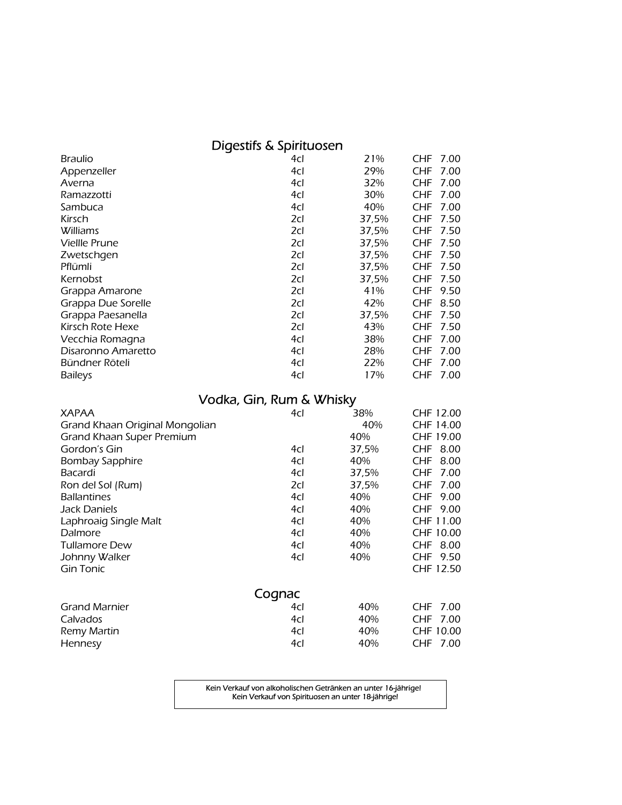#### Digestifs & Spirituosen

| <b>Braulio</b>       | 4cl | 21%   | CHF.       | 7.00 |
|----------------------|-----|-------|------------|------|
| Appenzeller          | 4cl | 29%   | CHF.       | 7.00 |
| Averna               | 4cl | 32%   | CHF        | 7.00 |
| Ramazzotti           | 4cl | 30%   | CHF.       | 7.00 |
| Sambuca              | 4cl | 40%   | CHF        | 7.00 |
| Kirsch               | 2cl | 37,5% | CHF        | 7.50 |
| Williams             | 2cl | 37,5% | CHF        | 7.50 |
| <b>Viellle Prune</b> | 2cl | 37,5% | CHF        | 7.50 |
| Zwetschgen           | 2cl | 37,5% | CHF        | 7.50 |
| Pflümli              | 2cl | 37,5% | CHF        | 7.50 |
| Kernobst             | 2cl | 37,5% | CHF        | 7.50 |
| Grappa Amarone       | 2cl | 41%   | CHF        | 9.50 |
| Grappa Due Sorelle   | 2cl | 42%   | CHF        | 8.50 |
| Grappa Paesanella    | 2cl | 37,5% | <b>CHF</b> | 7.50 |
| Kirsch Rote Hexe     | 2cl | 43%   | <b>CHF</b> | 7.50 |
| Vecchia Romagna      | 4cl | 38%   | CHF        | 7.00 |
| Disaronno Amaretto   | 4cl | 28%   | CHF        | 7.00 |
| Bündner Röteli       | 4cl | 22%   | CHF        | 7.00 |
| <b>Baileys</b>       | 4cl | 17%   | CHF        | 7.00 |

#### Vodka, Gin, Rum & Whisky

| <b>XAPAA</b>                   | 4cl    | 38%   | CHF 12.00          |
|--------------------------------|--------|-------|--------------------|
| Grand Khaan Original Mongolian |        | 40%   | CHF 14.00          |
| Grand Khaan Super Premium      |        | 40%   | CHF 19.00          |
| Gordon's Gin                   | 4cl    | 37,5% | CHF<br>8.00        |
| <b>Bombay Sapphire</b>         | 4cl    | 40%   | CHF<br>8.00        |
| Bacardi                        | 4cl    | 37,5% | CHF<br>7.00        |
| Ron del Sol (Rum)              | 2cl    | 37,5% | CHF<br>7.00        |
| <b>Ballantines</b>             | 4cl    | 40%   | CHF<br>9.00        |
| Jack Daniels                   | 4cl    | 40%   | CHF<br>9.00        |
| Laphroaig Single Malt          | 4cl    | 40%   | CHF 11.00          |
| Dalmore                        | 4cl    | 40%   | CHF 10.00          |
| <b>Tullamore Dew</b>           | 4cl    | 40%   | CHF<br>8.00        |
| Johnny Walker                  | 4cl    | 40%   | CHF<br>9.50        |
| <b>Gin Tonic</b>               |        |       | CHF 12.50          |
|                                | Cognac |       |                    |
| <b>Grand Marnier</b>           | 4cl    | 40%   | 7.00<br><b>CHF</b> |
| Calvados                       | 4cl    | 40%   | CHF<br>7.00        |
| Remy Martin                    | 4cl    | 40%   | CHF 10.00          |
| Hennesy                        | 4cl    | 40%   | CHF 7.00           |

Kein Verkauf von alkoholischen Getränken an unter 16-jährige! Kein Verkauf von Spirituosen an unter 18-jährige!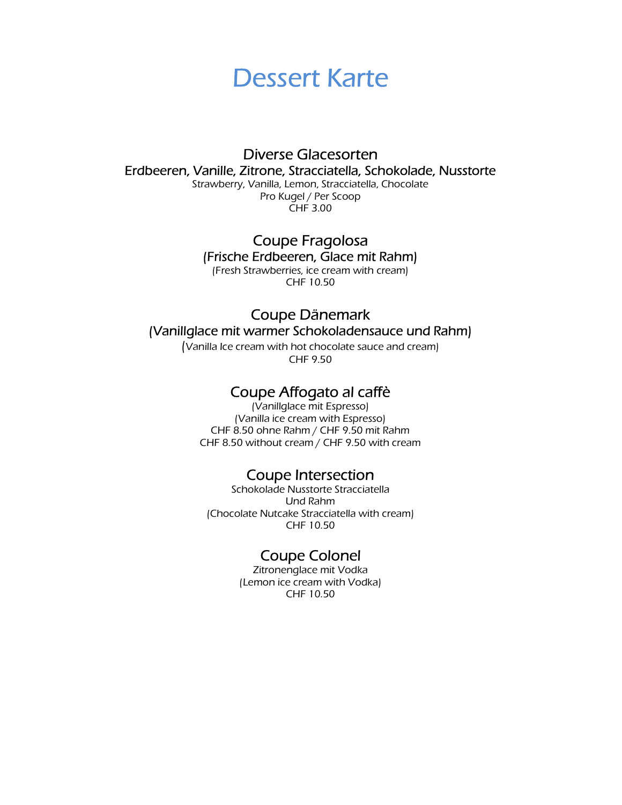

#### Diverse Glacesorten Erdbeeren, Vanille, Zitrone, Stracciatella, Schokolade, Nusstorte

Strawberry, Vanilla, Lemon, Stracciatella, Chocolate Pro Kugel / Per Scoop CHF 3.00

#### Coupe Fragolosa (Frische Erdbeeren, Glace mit Rahm)

(Fresh Strawberries, ice cream with cream) CHF 10.50

#### Coupe Dänemark (Vanillglace mit warmer Schokoladensauce und Rahm)

(Vanilla Ice cream with hot chocolate sauce and cream) CHF 9.50

#### Coupe Affogato al caffè

(Vanillglace mit Espresso) (Vanilla ice cream with Espresso) CHF 8.50 ohne Rahm / CHF 9.50 mit Rahm CHF 8.50 without cream / CHF 9.50 with cream

#### Coupe Intersection

Schokolade Nusstorte Stracciatella Und Rahm (Chocolate Nutcake Stracciatella with cream) CHF 10.50

#### Coupe Colonel

Zitronenglace mit Vodka (Lemon ice cream with Vodka) CHF 10.50